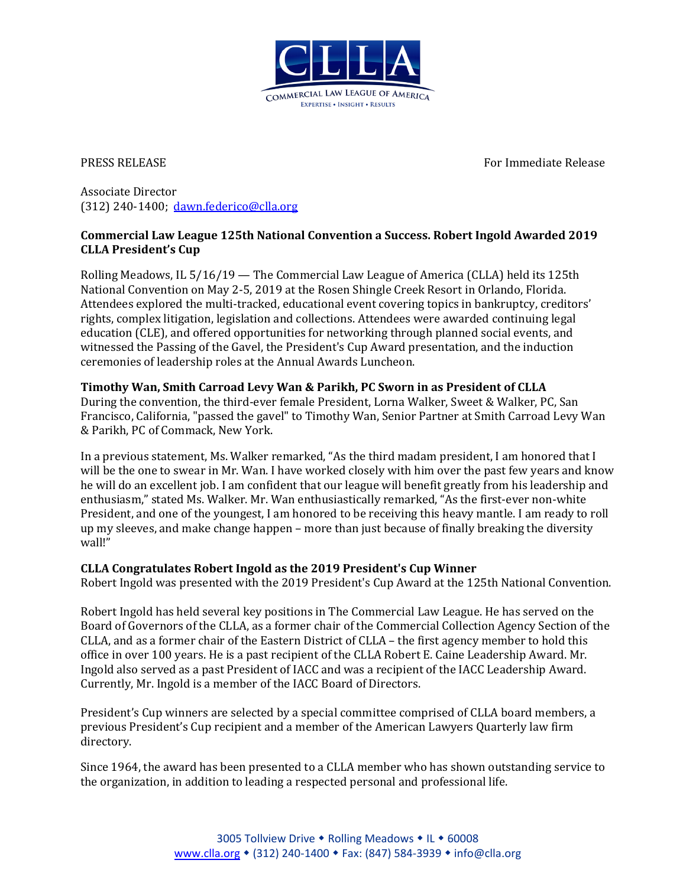

PRESS RELEASE For Immediate Release

Associate Director (312) 240-1400; [dawn.federico@clla.org](mailto:dawn.federico@clla.org)

## **Commercial Law League 125th National Convention a Success. Robert Ingold Awarded 2019 CLLA President's Cup**

Rolling Meadows, IL 5/16/19 — The Commercial Law League of America (CLLA) held its 125th National Convention on May 2-5, 2019 at the Rosen Shingle Creek Resort in Orlando, Florida. Attendees explored the multi-tracked, educational event covering topics in bankruptcy, creditors' rights, complex litigation, legislation and collections. Attendees were awarded continuing legal education (CLE), and offered opportunities for networking through planned social events, and witnessed the Passing of the Gavel, the President's Cup Award presentation, and the induction ceremonies of leadership roles at the Annual Awards Luncheon.

## **Timothy Wan, Smith Carroad Levy Wan & Parikh, PC Sworn in as President of CLLA**

During the convention, the third-ever female President, Lorna Walker, Sweet & Walker, PC, San Francisco, California, "passed the gavel" to Timothy Wan, Senior Partner at Smith Carroad Levy Wan & Parikh, PC of Commack, New York.

In a previous statement, Ms. Walker remarked, "As the third madam president, I am honored that I will be the one to swear in Mr. Wan. I have worked closely with him over the past few years and know he will do an excellent job. I am confident that our league will benefit greatly from his leadership and enthusiasm," stated Ms. Walker. Mr. Wan enthusiastically remarked, "As the first-ever non-white President, and one of the youngest, I am honored to be receiving this heavy mantle. I am ready to roll up my sleeves, and make change happen – more than just because of finally breaking the diversity wall!"

## **CLLA Congratulates Robert Ingold as the 2019 President's Cup Winner**

Robert Ingold was presented with the 2019 President's Cup Award at the 125th National Convention.

Robert Ingold has held several key positions in The Commercial Law League. He has served on the Board of Governors of the CLLA, as a former chair of the Commercial Collection Agency Section of the CLLA, and as a former chair of the Eastern District of CLLA – the first agency member to hold this office in over 100 years. He is a past recipient of the CLLA Robert E. Caine Leadership Award. Mr. Ingold also served as a past President of IACC and was a recipient of the IACC Leadership Award. Currently, Mr. Ingold is a member of the IACC Board of Directors.

President's Cup winners are selected by a special committee comprised of CLLA board members, a previous President's Cup recipient and a member of the American Lawyers Quarterly law firm directory.

Since 1964, the award has been presented to a CLLA member who has shown outstanding service to the organization, in addition to leading a respected personal and professional life.